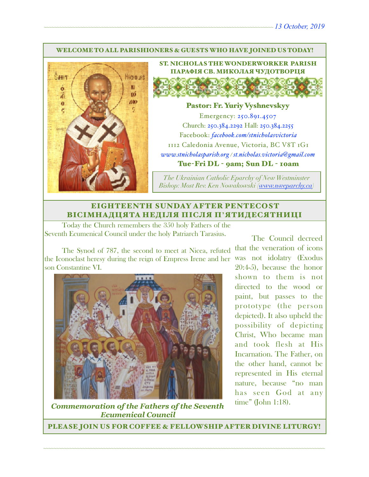#### WELCOME TO ALL PARISHIONERS & GUESTS WHO HAVE JOINED US TODAY!



ST. NICHOLAS THE WONDERWORKER PARISH ПАРАФІЯ СВ. МИКОЛАЯ ЧУДОТВОРЦЯ

#### Pastor: Fr. Yuriy Vyshnevskyy

Emergency: 250.891.4507 Church: 250.384.2292 Hall: 250.384.2255 Facebook: *[facebook.com/stnicholasvictoria](http://facebook.com/stnicholasvictoria)* 1112 Caledonia Avenue, Victoria, BC V8T 1G1 *[www.stnicholasparish.org](http://www.stnicholasparish.org) / [st.nicholas.victoria@gmail.com](mailto:st.nicholas.victoria@gmail.com)* Tue-Fri DL - 9am; Sun DL - 10am

*The Ukrainian Catholic Eparchy of New Westminster Bishop: Most Rev. Ken Nowakowski ([www.nweparchy.ca](http://www.nweparchy.ca))*

#### EIGHTEENTH SUNDAY AFTER PENTECOST ВІСІМНАДЦЯТА НЕДІЛЯ ПІСЛЯ П**'**ЯТИДЕСЯТНИЦІ

Today the Church remembers the 350 holy Fathers of the Seventh Ecumenical Council under the holy Patriarch Tarasius.

The Synod of 787, the second to meet at Nicea, refuted the Iconoclast heresy during the reign of Empress Irene and her son Constantine VI.



The Council decreed that the veneration of icons was not idolatry (Exodus 20:4-5), because the honor shown to them is not directed to the wood or paint, but passes to the prototype (the person depicted). It also upheld the possibility of depicting Christ, Who became man and took flesh at His Incarnation. The Father, on the other hand, cannot be represented in His eternal nature, because "no man has seen God at any time" (John 1:18).

*Commemoration of the Fathers of the Seventh Ecumenical Council*

PLEASE JOIN US FOR COFFEE & FELLOWSHIP AFTER DIVINE LITURGY!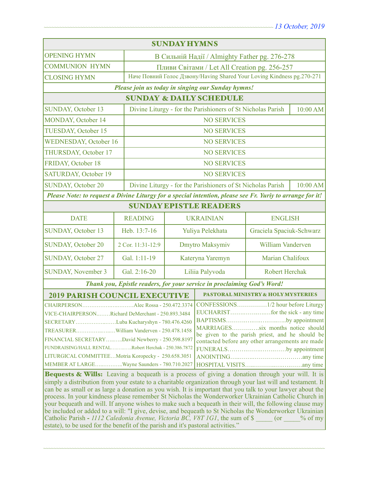|                                                                                                                                                                                                                                                                                                                                                                                                                                                                                                                                                                                                                                                                                                                                                                                                                                                                                                                                                                                                                                                                                                                                                                                                                                                                                  |                                                                        | В Сильній Надії / Almighty Father pg. 276-278 |                                                                                                                                                                |                                    |  |  |  |
|----------------------------------------------------------------------------------------------------------------------------------------------------------------------------------------------------------------------------------------------------------------------------------------------------------------------------------------------------------------------------------------------------------------------------------------------------------------------------------------------------------------------------------------------------------------------------------------------------------------------------------------------------------------------------------------------------------------------------------------------------------------------------------------------------------------------------------------------------------------------------------------------------------------------------------------------------------------------------------------------------------------------------------------------------------------------------------------------------------------------------------------------------------------------------------------------------------------------------------------------------------------------------------|------------------------------------------------------------------------|-----------------------------------------------|----------------------------------------------------------------------------------------------------------------------------------------------------------------|------------------------------------|--|--|--|
|                                                                                                                                                                                                                                                                                                                                                                                                                                                                                                                                                                                                                                                                                                                                                                                                                                                                                                                                                                                                                                                                                                                                                                                                                                                                                  |                                                                        |                                               |                                                                                                                                                                |                                    |  |  |  |
|                                                                                                                                                                                                                                                                                                                                                                                                                                                                                                                                                                                                                                                                                                                                                                                                                                                                                                                                                                                                                                                                                                                                                                                                                                                                                  |                                                                        | Пливи Світами / Let All Creation pg. 256-257  |                                                                                                                                                                |                                    |  |  |  |
|                                                                                                                                                                                                                                                                                                                                                                                                                                                                                                                                                                                                                                                                                                                                                                                                                                                                                                                                                                                                                                                                                                                                                                                                                                                                                  | Наче Повний Голос Дзвону/Having Shared Your Loving Kindness pg.270-271 |                                               |                                                                                                                                                                |                                    |  |  |  |
| Please join us today in singing our Sunday hymns!                                                                                                                                                                                                                                                                                                                                                                                                                                                                                                                                                                                                                                                                                                                                                                                                                                                                                                                                                                                                                                                                                                                                                                                                                                |                                                                        |                                               |                                                                                                                                                                |                                    |  |  |  |
| <b>SUNDAY &amp; DAILY SCHEDULE</b>                                                                                                                                                                                                                                                                                                                                                                                                                                                                                                                                                                                                                                                                                                                                                                                                                                                                                                                                                                                                                                                                                                                                                                                                                                               |                                                                        |                                               |                                                                                                                                                                |                                    |  |  |  |
| Divine Liturgy - for the Parishioners of St Nicholas Parish<br>10:00 AM                                                                                                                                                                                                                                                                                                                                                                                                                                                                                                                                                                                                                                                                                                                                                                                                                                                                                                                                                                                                                                                                                                                                                                                                          |                                                                        |                                               |                                                                                                                                                                |                                    |  |  |  |
| <b>NO SERVICES</b>                                                                                                                                                                                                                                                                                                                                                                                                                                                                                                                                                                                                                                                                                                                                                                                                                                                                                                                                                                                                                                                                                                                                                                                                                                                               |                                                                        |                                               |                                                                                                                                                                |                                    |  |  |  |
| <b>NO SERVICES</b>                                                                                                                                                                                                                                                                                                                                                                                                                                                                                                                                                                                                                                                                                                                                                                                                                                                                                                                                                                                                                                                                                                                                                                                                                                                               |                                                                        |                                               |                                                                                                                                                                |                                    |  |  |  |
| <b>NO SERVICES</b>                                                                                                                                                                                                                                                                                                                                                                                                                                                                                                                                                                                                                                                                                                                                                                                                                                                                                                                                                                                                                                                                                                                                                                                                                                                               |                                                                        |                                               |                                                                                                                                                                |                                    |  |  |  |
| <b>NO SERVICES</b>                                                                                                                                                                                                                                                                                                                                                                                                                                                                                                                                                                                                                                                                                                                                                                                                                                                                                                                                                                                                                                                                                                                                                                                                                                                               |                                                                        |                                               |                                                                                                                                                                |                                    |  |  |  |
| <b>NO SERVICES</b>                                                                                                                                                                                                                                                                                                                                                                                                                                                                                                                                                                                                                                                                                                                                                                                                                                                                                                                                                                                                                                                                                                                                                                                                                                                               |                                                                        |                                               |                                                                                                                                                                |                                    |  |  |  |
| <b>NO SERVICES</b>                                                                                                                                                                                                                                                                                                                                                                                                                                                                                                                                                                                                                                                                                                                                                                                                                                                                                                                                                                                                                                                                                                                                                                                                                                                               |                                                                        |                                               |                                                                                                                                                                |                                    |  |  |  |
| Divine Liturgy - for the Parishioners of St Nicholas Parish<br>10:00 AM                                                                                                                                                                                                                                                                                                                                                                                                                                                                                                                                                                                                                                                                                                                                                                                                                                                                                                                                                                                                                                                                                                                                                                                                          |                                                                        |                                               |                                                                                                                                                                |                                    |  |  |  |
| Please Note: to request a Divine Liturgy for a special intention, please see Fr. Yuriy to arrange for it!                                                                                                                                                                                                                                                                                                                                                                                                                                                                                                                                                                                                                                                                                                                                                                                                                                                                                                                                                                                                                                                                                                                                                                        |                                                                        |                                               |                                                                                                                                                                |                                    |  |  |  |
| <b>SUNDAY EPISTLE READERS</b>                                                                                                                                                                                                                                                                                                                                                                                                                                                                                                                                                                                                                                                                                                                                                                                                                                                                                                                                                                                                                                                                                                                                                                                                                                                    |                                                                        |                                               |                                                                                                                                                                |                                    |  |  |  |
| <b>READING</b>                                                                                                                                                                                                                                                                                                                                                                                                                                                                                                                                                                                                                                                                                                                                                                                                                                                                                                                                                                                                                                                                                                                                                                                                                                                                   |                                                                        |                                               | <b>ENGLISH</b>                                                                                                                                                 |                                    |  |  |  |
| Heb. 13:7-16                                                                                                                                                                                                                                                                                                                                                                                                                                                                                                                                                                                                                                                                                                                                                                                                                                                                                                                                                                                                                                                                                                                                                                                                                                                                     |                                                                        |                                               | Graciela Spaciuk-Schwarz                                                                                                                                       |                                    |  |  |  |
| 2 Cor. 11:31-12:9                                                                                                                                                                                                                                                                                                                                                                                                                                                                                                                                                                                                                                                                                                                                                                                                                                                                                                                                                                                                                                                                                                                                                                                                                                                                |                                                                        | William Vanderven                             |                                                                                                                                                                |                                    |  |  |  |
| Gal. 1:11-19                                                                                                                                                                                                                                                                                                                                                                                                                                                                                                                                                                                                                                                                                                                                                                                                                                                                                                                                                                                                                                                                                                                                                                                                                                                                     |                                                                        | Marian Chalifoux<br>Kateryna Yaremyn          |                                                                                                                                                                |                                    |  |  |  |
| Gal. 2:16-20                                                                                                                                                                                                                                                                                                                                                                                                                                                                                                                                                                                                                                                                                                                                                                                                                                                                                                                                                                                                                                                                                                                                                                                                                                                                     |                                                                        | <b>Robert Herchak</b>                         |                                                                                                                                                                |                                    |  |  |  |
| Thank you, Epistle readers, for your service in proclaiming God's Word!                                                                                                                                                                                                                                                                                                                                                                                                                                                                                                                                                                                                                                                                                                                                                                                                                                                                                                                                                                                                                                                                                                                                                                                                          |                                                                        |                                               |                                                                                                                                                                |                                    |  |  |  |
|                                                                                                                                                                                                                                                                                                                                                                                                                                                                                                                                                                                                                                                                                                                                                                                                                                                                                                                                                                                                                                                                                                                                                                                                                                                                                  |                                                                        | <b>PASTORAL MINISTRY &amp; HOLY MYSTERIES</b> |                                                                                                                                                                |                                    |  |  |  |
| VICE-CHAIRPERSONRichard DeMerchant - 250.893.3484<br>BAPTISMSby appointment<br>SECRETARYLuba Kucharyshyn - 780.476.4260<br>MARRIAGESsix months notice should<br>be given to the parish priest, and he should be<br>FINANCIAL SECRETARYDavid Newberry - 250.598.8197<br>contacted before any other arrangements are made<br>FUNDRAISING/HALL RENTALRobert Herchak - 250.386.7872<br>FUNERALSby appointment<br>LITURGICAL COMMITTEEMotria Koropecky - 250.658.3051<br>MEMBER AT LARGEWayne Saunders - 780.710.2027<br>Bequests & Wills: Leaving a bequeath is a process of giving a donation through your will. It is<br>simply a distribution from your estate to a charitable organization through your last will and testament. It<br>can be as small or as large a donation as you wish. It is important that you talk to your lawyer about the<br>process. In your kindness please remember St Nicholas the Wonderworker Ukrainian Catholic Church in<br>your bequeath and will. If anyone wishes to make such a bequeath in their will, the following clause may<br>be included or added to a will: "I give, devise, and bequeath to St Nicholas the Wonderworker Ukrainian<br>Catholic Parish - 1112 Caledonia Avenue, Victoria BC, V8T 1G1, the sum of \$ (or<br>$%$ of my |                                                                        |                                               |                                                                                                                                                                |                                    |  |  |  |
|                                                                                                                                                                                                                                                                                                                                                                                                                                                                                                                                                                                                                                                                                                                                                                                                                                                                                                                                                                                                                                                                                                                                                                                                                                                                                  |                                                                        | <b>2019 PARISH COUNCIL EXECUTIVE</b>          | <b>UKRAINIAN</b><br>Yuliya Pelekhata<br>Dmytro Maksymiv<br>Liliia Palyvoda<br>estate), to be used for the benefit of the parish and it's pastoral activities." | CONFESSIONS1/2 hour before Liturgy |  |  |  |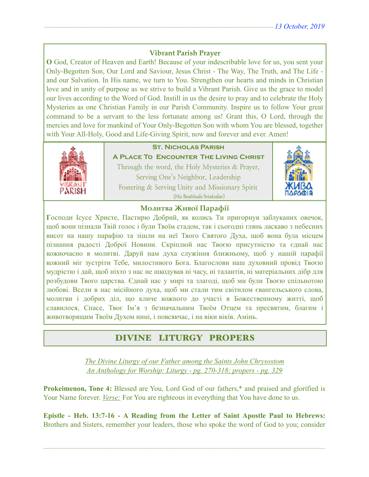#### **Vibrant Parish Prayer**

**O** God, Creator of Heaven and Earth! Because of your indescribable love for us, you sent your Only-Begotten Son, Our Lord and Saviour, Jesus Christ - The Way, The Truth, and The Life and our Salvation. In His name, we turn to You. Strengthen our hearts and minds in Christian love and in unity of purpose as we strive to build a Vibrant Parish. Give us the grace to model our lives according to the Word of God. Instill in us the desire to pray and to celebrate the Holy Mysteries as one Christian Family in our Parish Community. Inspire us to follow Your great command to be a servant to the less fortunate among us! Grant this, O Lord, through the mercies and love for mankind of Your Only-Begotten Son with whom You are blessed, together with Your All-Holy, Good and Life-Giving Spirit, now and forever and ever. Amen!



### **St. Nicholas Parish**

**A Place To Encounter The Living Christ** Through the word, the Holy Mysteries & Prayer, Serving One's Neighbor, Leadership Fostering & Serving Unity and Missionary Spirit (His Beatitude Sviatoslav)



#### **Молитва Живої Парафії**

**Г**осподи Ісусе Христе, Пастирю Добрий, як колись Ти пригорнув заблуканих овечок, щоб вони пізнали Твій голос і були Твоїм стадом, так і сьогодні глянь ласкаво з небесних висот на нашу парафію та зішли на неї Твого Святого Духа, щоб вона була місцем пізнання радості Доброї Новини. Скріплюй нас Твоєю присутністю та єднай нас кожночасно в молитві. Даруй нам духа служіння ближньому, щоб у нашій парафії кожний міг зустріти Тебе, милостивого Бога. Благослови наш духовний провід Твоєю мудрістю і дай, щоб ніхто з нас не шкодував ні часу, ні талантів, ні матеріальних дібр для розбудови Твого царства. Єднай нас у мирі та злагоді, щоб ми були Твоєю спільнотою любові. Всели в нас місійного духа, щоб ми стали тим світилом євангельського слова, молитви і добрих діл, що кличе кожного до участі в Божественному житті, щоб славилося, Спасе, Твоє Ім'я з безначальним Твоїм Отцем та пресвятим, благим і животворящим Твоїм Духом нині, і повсякчас, і на віки віків. Амінь.

# DIVINE LITURGY PROPERS

*The Divine Liturgy of our Father among the Saints John Chrysostom An Anthology for Worship: Liturgy - pg. 270-318; propers - pg. 329* 

**Prokeimenon, Tone 4:** Blessed are You, Lord God of our fathers,<sup>\*</sup> and praised and glorified is Your Name forever. *Verse:* For You are righteous in everything that You have done to us.

**Epistle - Heb. 13:7-16 - A Reading from the Letter of Saint Apostle Paul to Hebrews:**  Brothers and Sisters, remember your leaders, those who spoke the word of God to you; consider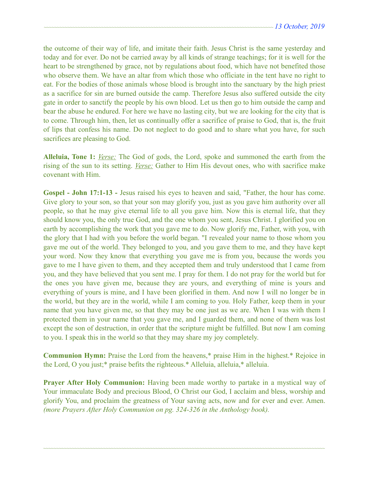the outcome of their way of life, and imitate their faith. Jesus Christ is the same yesterday and today and for ever. Do not be carried away by all kinds of strange teachings; for it is well for the heart to be strengthened by grace, not by regulations about food, which have not benefited those who observe them. We have an altar from which those who officiate in the tent have no right to eat. For the bodies of those animals whose blood is brought into the sanctuary by the high priest as a sacrifice for sin are burned outside the camp. Therefore Jesus also suffered outside the city gate in order to sanctify the people by his own blood. Let us then go to him outside the camp and bear the abuse he endured. For here we have no lasting city, but we are looking for the city that is to come. Through him, then, let us continually offer a sacrifice of praise to God, that is, the fruit of lips that confess his name. Do not neglect to do good and to share what you have, for such sacrifices are pleasing to God.

**Alleluia, Tone 1:** *Verse:* The God of gods, the Lord, spoke and summoned the earth from the rising of the sun to its setting. *Verse:* Gather to Him His devout ones, who with sacrifice make covenant with Him.

**Gospel - John 17:1-13 -** Jesus raised his eyes to heaven and said, "Father, the hour has come. Give glory to your son, so that your son may glorify you, just as you gave him authority over all people, so that he may give eternal life to all you gave him. Now this is eternal life, that they should know you, the only true God, and the one whom you sent, Jesus Christ. I glorified you on earth by accomplishing the work that you gave me to do. Now glorify me, Father, with you, with the glory that I had with you before the world began. "I revealed your name to those whom you gave me out of the world. They belonged to you, and you gave them to me, and they have kept your word. Now they know that everything you gave me is from you, because the words you gave to me I have given to them, and they accepted them and truly understood that I came from you, and they have believed that you sent me. I pray for them. I do not pray for the world but for the ones you have given me, because they are yours, and everything of mine is yours and everything of yours is mine, and I have been glorified in them. And now I will no longer be in the world, but they are in the world, while I am coming to you. Holy Father, keep them in your name that you have given me, so that they may be one just as we are. When I was with them I protected them in your name that you gave me, and I guarded them, and none of them was lost except the son of destruction, in order that the scripture might be fulfilled. But now I am coming to you. I speak this in the world so that they may share my joy completely.

**Communion Hymn:** Praise the Lord from the heavens,\* praise Him in the highest.\* Rejoice in the Lord, O you just;\* praise befits the righteous.\* Alleluia, alleluia,\* alleluia.

**Prayer After Holy Communion:** Having been made worthy to partake in a mystical way of Your immaculate Body and precious Blood, O Christ our God, I acclaim and bless, worship and glorify You, and proclaim the greatness of Your saving acts, now and for ever and ever. Amen. *(more Prayers After Holy Communion on pg. 324-326 in the Anthology book).*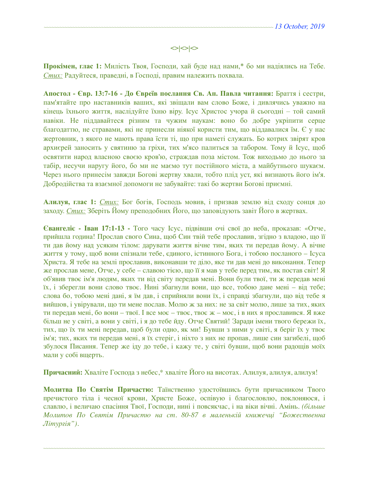### $\left| \diamond \right| \diamond \left| \diamond \right|$

**Прокімен, глас 1:** Милість Твоя, Господи, хай буде над нами,\* бо ми надіялись на Тебе. *Стих:* Радуйтеся, праведні, в Господі, правим належить похвала.

**Апостол - Євр. 13:7-16 - До Євреїв послання Св. Ап. Павла читання:** Браття і сестри, пам'ятайте про наставників ваших, які звіщали вам слово Боже, і дивлячись уважно на кінець їхнього життя, наслідуйте їхню віру. Ісус Христос учора й сьогодні – той самий навіки. Не піддавайтеся різним та чужим наукам: воно бо добре укріпити серце благодаттю, не стравами, які не принесли ніякої користи тим, що віддавалися їм. Є у нас жертовник, з якого не мають права їсти ті, що при наметі служать. Бо котрих звірят кров архиєрей заносить у святиню за гріхи, тих м'ясо палиться за табором. Тому й Ісус, щоб освятити народ власною своєю кров'ю, страждав поза містом. Тож виходьмо до нього за табір, несучи наругу його, бо ми не маємо тут постійного міста, а майбутнього шукаєм. Через нього принесім завжди Богові жертву хвали, тобто плід уст, які визнають його ім'я. Добродійства та взаємної допомоги не забувайте: такі бо жертви Богові приємні.

**Алилуя, глас 1:** *Стих:* Бог богів, Господь мовив, і призвав землю від сходу сонця до заходу. *Стих:* Зберіть Йому преподобних Його, що заповідують завіт Його в жертвах.

**Євангеліє - Іван 17:1-13 -** Того часу Ісус, підвівши очі свої до неба, проказав: «Отче, прийшла година! Прослав свого Сина, щоб Син твій тебе прославив, згідно з владою, що її ти дав йому над усяким тілом: дарувати життя вічне тим, яких ти передав йому. А вічне життя у тому, щоб вони спізнали тебе, єдиного, істинного Бога, і тобою посланого – Ісуса Христа. Я тебе на землі прославив, виконавши те діло, яке ти дав мені до виконання. Тепер же прослав мене, Отче, у себе – славою тією, що її я мав у тебе перед тим, як постав світ! Я об'явив твоє ім'я людям, яких ти від світу передав мені. Вони були твої, ти ж передав мені їх, і зберегли вони слово твоє. Нині збагнули вони, що все, тобою дане мені – від тебе; слова бо, тобою мені дані, я їм дав, і сприйняли вони їх, і справді збагнули, що від тебе я вийшов, і увірували, що ти мене послав. Молю ж за них: не за світ молю, лише за тих, яких ти передав мені, бо вони – твої. І все моє – твоє, твоє ж – моє, і в них я прославився. Я вже більш не у світі, а вони у світі, і я до тебе йду. Отче Святий! Заради імени твого бережи їх, тих, що їх ти мені передав, щоб були одно, як ми! Бувши з ними у світі, я беріг їх у твоє ім'я; тих, яких ти передав мені, я їх стеріг, і ніхто з них не пропав, лише син загибелі, щоб збулося Писання. Тепер же іду до тебе, і кажу те, у світі бувши, щоб вони радощів моїх мали у собі вщерть.

**Причасний:** Хваліте Господа з небес,\* хваліте Його на висотах. Алилуя, алилуя, алилуя!

**Молитва По Святім Причастю:** Таїнственно удостоївшись бути причасником Твого пречистого тіла і чесної крови, Христе Боже, оспівую і благословлю, поклоняюся, і славлю, і величаю спасіння Твої, Господи, нині і повсякчас, і на віки вічні. Амінь. *(більше Молитов По Святім Причастю на ст. 80-87 в маленькій книжечці "Божественна Літургія")*.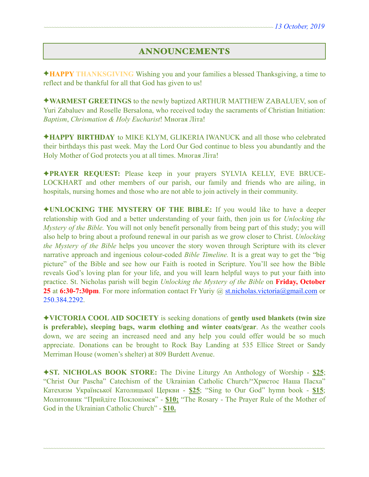## ANNOUNCEMENTS

✦**HAPPY THANKSGIVING** Wishing you and your families a blessed Thanksgiving, a time to reflect and be thankful for all that God has given to us!

✦**WARMEST GREETINGS** to the newly baptized ARTHUR MATTHEW ZABALUEV, son of Yuri Zabaluev and Roselle Bersalona, who received today the sacraments of Christian Initiation: *Baptism*, *Chrismation & Holy Eucharist*! Многая Літа!

✦**HAPPY BIRTHDAY** to MIKE KLYM, GLIKERIA IWANUCK and all those who celebrated their birthdays this past week. May the Lord Our God continue to bless you abundantly and the Holy Mother of God protects you at all times. Многая Літа!

✦**PRAYER REQUEST:** Please keep in your prayers SYLVIA KELLY, EVE BRUCE-LOCKHART and other members of our parish, our family and friends who are ailing, in hospitals, nursing homes and those who are not able to join actively in their community.

✦**UNLOCKING THE MYSTERY OF THE BIBLE:** If you would like to have a deeper relationship with God and a better understanding of your faith, then join us for *Unlocking the Mystery of the Bible.* You will not only benefit personally from being part of this study; you will also help to bring about a profound renewal in our parish as we grow closer to Christ. *Unlocking the Mystery of the Bible* helps you uncover the story woven through Scripture with its clever narrative approach and ingenious colour-coded *Bible Timeline.* It is a great way to get the "big picture" of the Bible and see how our Faith is rooted in Scripture. You'll see how the Bible reveals God's loving plan for your life, and you will learn helpful ways to put your faith into practice. St. Nicholas parish will begin *Unlocking the Mystery of the Bible* on **Friday, October**  25 at 6:30-7:30pm. For more information contact Fr Yuriy @ [st.nicholas.victoria@gmail.com](mailto:st.nicholas.victoria@gmail.com) or 250.384.2292.

✦**VICTORIA COOL AID SOCIETY** is seeking donations of **gently used blankets (twin size is preferable), sleeping bags, warm clothing and winter coats/gear**. As the weather cools down, we are seeing an increased need and any help you could offer would be so much appreciate. Donations can be brought to Rock Bay Landing at 535 Ellice Street or Sandy Merriman House (women's shelter) at 809 Burdett Avenue.

✦**ST. NICHOLAS BOOK STORE:** The Divine Liturgy An Anthology of Worship - **\$25**; "Christ Our Pascha" Catechism of the Ukrainian Catholic Church/"Христос Наша Пасха" Катехизм Української Католицької Церкви - **\$25**; "Sing to Our God" hymn book - **\$15**; Молитовник "Прийдіте Поклонімся" - **\$10;** "The Rosary - The Prayer Rule of the Mother of God in the Ukrainian Catholic Church" - **\$10.**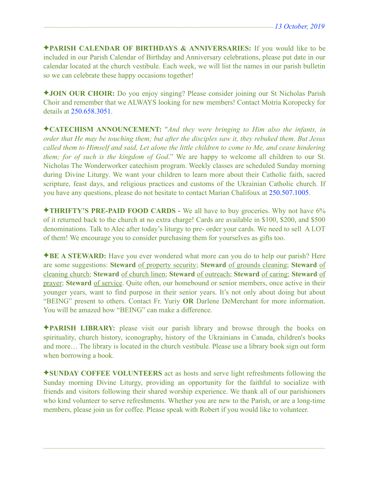✦**PARISH CALENDAR OF BIRTHDAYS & ANNIVERSARIES:** If you would like to be included in our Parish Calendar of Birthday and Anniversary celebrations, please put date in our calendar located at the church vestibule. Each week, we will list the names in our parish bulletin so we can celebrate these happy occasions together!

✦**JOIN OUR CHOIR:** Do you enjoy singing? Please consider joining our St Nicholas Parish Choir and remember that we ALWAYS looking for new members! Contact Motria Koropecky for details at 250.658.3051.

✦**CATECHISM ANNOUNCEMENT:** "*And they were bringing to Him also the infants, in order that He may be touching them; but after the disciples saw it, they rebuked them. But Jesus called them to Himself and said, Let alone the little children to come to Me, and cease hindering them; for of such is the kingdom of God*." We are happy to welcome all children to our St. Nicholas The Wonderworker catechism program. Weekly classes are scheduled Sunday morning during Divine Liturgy. We want your children to learn more about their Catholic faith, sacred scripture, feast days, and religious practices and customs of the Ukrainian Catholic church. If you have any questions, please do not hesitate to contact Marian Chalifoux at 250.507.1005.

✦**THRIFTY'S PRE-PAID FOOD CARDS -** We all have to buy groceries. Why not have 6% of it returned back to the church at no extra charge! Cards are available in \$100, \$200, and \$500 denominations. Talk to Alec after today's liturgy to pre- order your cards. We need to sell A LOT of them! We encourage you to consider purchasing them for yourselves as gifts too.

✦**BE A STEWARD:** Have you ever wondered what more can you do to help our parish? Here are some suggestions: **Steward** of property security; **Steward** of grounds cleaning; **Steward** of cleaning church; **Steward** of church linen; **Steward** of outreach; **Steward** of caring; **Steward** of prayer; **Steward** of service. Quite often, our homebound or senior members, once active in their younger years, want to find purpose in their senior years. It's not only about doing but about "BEING" present to others. Contact Fr. Yuriy **OR** Darlene DeMerchant for more information. You will be amazed how "BEING" can make a difference.

✦**PARISH LIBRARY:** please visit our parish library and browse through the books on spirituality, church history, iconography, history of the Ukrainians in Canada, children's books and more… The library is located in the church vestibule. Please use a library book sign out form when borrowing a book.

✦**SUNDAY COFFEE VOLUNTEERS** act as hosts and serve light refreshments following the Sunday morning Divine Liturgy, providing an opportunity for the faithful to socialize with friends and visitors following their shared worship experience. We thank all of our parishioners who kind volunteer to serve refreshments. Whether you are new to the Parish, or are a long-time members, please join us for coffee. Please speak with Robert if you would like to volunteer.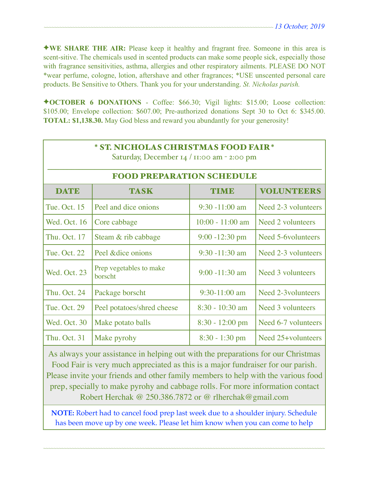✦**WE SHARE THE AIR:** Please keep it healthy and fragrant free. Someone in this area is scent-sitive. The chemicals used in scented products can make some people sick, especially those with fragrance sensitivities, asthma, allergies and other respiratory ailments. PLEASE DO NOT \*wear perfume, cologne, lotion, aftershave and other fragrances; \*USE unscented personal care products. Be Sensitive to Others. Thank you for your understanding. *St. Nicholas parish.* 

✦**OCTOBER 6 DONATIONS** - Coffee: \$66.30; Vigil lights: \$15.00; Loose collection: \$105.00; Envelope collection: \$607.00; Pre-authorized donations Sept 30 to Oct 6: \$345.00. **TOTAL: \$1,138.30.** May God bless and reward you abundantly for your generosity!

| * ST. NICHOLAS CHRISTMAS FOOD FAIR*<br>Saturday, December 14 / 11:00 am - 2:00 pm |                                    |                    |                     |  |  |  |
|-----------------------------------------------------------------------------------|------------------------------------|--------------------|---------------------|--|--|--|
| <b>FOOD PREPARATION SCHEDULE</b>                                                  |                                    |                    |                     |  |  |  |
| <b>DATE</b>                                                                       | <b>TASK</b>                        | <b>TIME</b>        | <b>VOLUNTEERS</b>   |  |  |  |
| Tue. Oct. 15                                                                      | Peel and dice onions               | $9:30 - 11:00$ am  | Need 2-3 volunteers |  |  |  |
| <b>Wed. Oct. 16</b>                                                               | Core cabbage                       | $10:00 - 11:00$ am | Need 2 volunteers   |  |  |  |
| Thu. Oct. 17                                                                      | Steam & rib cabbage                | $9:00 - 12:30$ pm  | Need 5-6 volunteers |  |  |  |
| Tue. Oct. 22                                                                      | Peel & dice onions                 | $9:30 - 11:30$ am  | Need 2-3 volunteers |  |  |  |
| <b>Wed. Oct. 23</b>                                                               | Prep vegetables to make<br>borscht | $9:00 - 11:30$ am  | Need 3 volunteers   |  |  |  |
| Thu. Oct. 24                                                                      | Package borscht                    | 9:30-11:00 am      | Need 2-3 volunteers |  |  |  |
| Tue. Oct. 29                                                                      | Peel potatoes/shred cheese         | $8:30 - 10:30$ am  | Need 3 volunteers   |  |  |  |
| Wed. Oct. 30                                                                      | Make potato balls                  | $8:30 - 12:00$ pm  | Need 6-7 volunteers |  |  |  |
| Thu. Oct. 31                                                                      | Make pyrohy                        | $8:30 - 1:30$ pm   | Need 25+volunteers  |  |  |  |

As always your assistance in helping out with the preparations for our Christmas Food Fair is very much appreciated as this is a major fundraiser for our parish. Please invite your friends and other family members to help with the various food prep, specially to make pyrohy and cabbage rolls. For more information contact Robert Herchak @ 250.386.7872 or @ [rlherchak@gmail.com](mailto:rlherchak@gmail.com)

**NOTE:** Robert had to cancel food prep last week due to a shoulder injury. Schedule has been move up by one week. Please let him know when you can come to help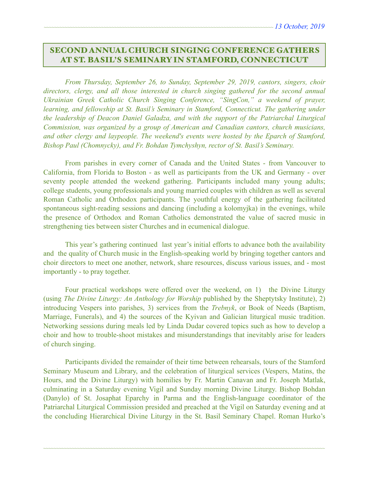## SECOND ANNUAL CHURCH SINGING CONFERENCE GATHERS AT ST. BASIL'S SEMINARY IN STAMFORD, CONNECTICUT

*From Thursday, September 26, to Sunday, September 29, 2019, cantors, singers, choir directors, clergy, and all those interested in church singing gathered for the second annual Ukrainian Greek Catholic Church Singing Conference, "SingCon," a weekend of prayer, learning, and fellowship at St. Basil's Seminary in Stamford, Connecticut. The gathering under the leadership of Deacon Daniel Galadza, and with the support of the Patriarchal Liturgical Commission, was organized by a group of American and Canadian cantors, church musicians, and other clergy and laypeople. The weekend's events were hosted by the Eparch of Stamford, Bishop Paul (Chomnycky), and Fr. Bohdan Tymchyshyn, rector of St. Basil's Seminary.* 

 From parishes in every corner of Canada and the United States - from Vancouver to California, from Florida to Boston - as well as participants from the UK and Germany - over seventy people attended the weekend gathering. Participants included many young adults; college students, young professionals and young married couples with children as well as several Roman Catholic and Orthodox participants. The youthful energy of the gathering facilitated spontaneous sight-reading sessions and dancing (including a kolomyjka) in the evenings, while the presence of Orthodox and Roman Catholics demonstrated the value of sacred music in strengthening ties between sister Churches and in ecumenical dialogue.

 This year's gathering continued last year's initial efforts to advance both the availability and the quality of Church music in the English-speaking world by bringing together cantors and choir directors to meet one another, network, share resources, discuss various issues, and - most importantly - to pray together.

 Four practical workshops were offered over the weekend, on 1) the Divine Liturgy (using *The Divine Liturgy: An Anthology for Worship* published by the Sheptytsky Institute), 2) introducing Vespers into parishes, 3) services from the *Trebnyk*, or Book of Needs (Baptism, Marriage, Funerals), and 4) the sources of the Kyivan and Galician liturgical music tradition. Networking sessions during meals led by Linda Dudar covered topics such as how to develop a choir and how to trouble-shoot mistakes and misunderstandings that inevitably arise for leaders of church singing.

 Participants divided the remainder of their time between rehearsals, tours of the Stamford Seminary Museum and Library, and the celebration of liturgical services (Vespers, Matins, the Hours, and the Divine Liturgy) with homilies by Fr. Martin Canavan and Fr. Joseph Matlak, culminating in a Saturday evening Vigil and Sunday morning Divine Liturgy. Bishop Bohdan (Danylo) of St. Josaphat Eparchy in Parma and the English-language coordinator of the Patriarchal Liturgical Commission presided and preached at the Vigil on Saturday evening and at the concluding Hierarchical Divine Liturgy in the St. Basil Seminary Chapel. Roman Hurko's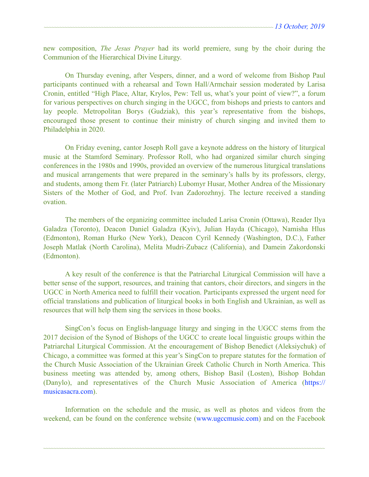new composition, *The Jesus Prayer* had its world premiere, sung by the choir during the Communion of the Hierarchical Divine Liturgy.

 On Thursday evening, after Vespers, dinner, and a word of welcome from Bishop Paul participants continued with a rehearsal and Town Hall/Armchair session moderated by Larisa Cronin, entitled "High Place, Altar, Krylos, Pew: Tell us, what's your point of view?", a forum for various perspectives on church singing in the UGCC, from bishops and priests to cantors and lay people. Metropolitan Borys (Gudziak), this year's representative from the bishops, encouraged those present to continue their ministry of church singing and invited them to Philadelphia in 2020.

 On Friday evening, cantor Joseph Roll gave a keynote address on the history of liturgical music at the Stamford Seminary. Professor Roll, who had organized similar church singing conferences in the 1980s and 1990s, provided an overview of the numerous liturgical translations and musical arrangements that were prepared in the seminary's halls by its professors, clergy, and students, among them Fr. (later Patriarch) Lubomyr Husar, Mother Andrea of the Missionary Sisters of the Mother of God, and Prof. Ivan Zadorozhnyj. The lecture received a standing ovation.

 The members of the organizing committee included Larisa Cronin (Ottawa), Reader Ilya Galadza (Toronto), Deacon Daniel Galadza (Kyiv), Julian Hayda (Chicago), Namisha Hlus (Edmonton), Roman Hurko (New York), Deacon Cyril Kennedy (Washington, D.C.), Father Joseph Matlak (North Carolina), Melita Mudri-Zubacz (California), and Damein Zakordonski (Edmonton).

 A key result of the conference is that the Patriarchal Liturgical Commission will have a better sense of the support, resources, and training that cantors, choir directors, and singers in the UGCC in North America need to fulfill their vocation. Participants expressed the urgent need for official translations and publication of liturgical books in both English and Ukrainian, as well as resources that will help them sing the services in those books.

 SingCon's focus on English-language liturgy and singing in the UGCC stems from the 2017 decision of the Synod of Bishops of the UGCC to create local linguistic groups within the Patriarchal Liturgical Commission. At the encouragement of Bishop Benedict (Aleksiychuk) of Chicago, a committee was formed at this year's SingCon to prepare statutes for the formation of the Church Music Association of the Ukrainian Greek Catholic Church in North America. This business meeting was attended by, among others, Bishop Basil (Losten), Bishop Bohdan (Danylo), and representatives of the Church Music Association of America ([https://](https://musicasacra.com/) [musicasacra.com](https://musicasacra.com/)).

 Information on the schedule and the music, as well as photos and videos from the weekend, can be found on the conference website ([www.ugccmusic.com](http://www.ugccmusic.com/)) and on the Facebook